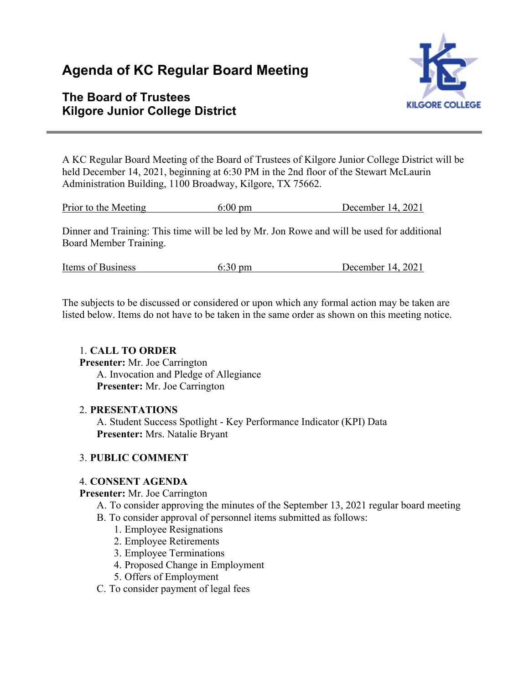# **Agenda of KC Regular Board Meeting**

# **The Board of Trustees Kilgore Junior College District**



A KC Regular Board Meeting of the Board of Trustees of Kilgore Junior College District will be held December 14, 2021, beginning at 6:30 PM in the 2nd floor of the Stewart McLaurin Administration Building, 1100 Broadway, Kilgore, TX 75662.

Prior to the Meeting 6:00 pm December 14, 2021

Dinner and Training: This time will be led by Mr. Jon Rowe and will be used for additional Board Member Training.

| Items of Business | $6:30 \text{ pm}$ | December 14, 2021 |
|-------------------|-------------------|-------------------|
|                   |                   |                   |

The subjects to be discussed or considered or upon which any formal action may be taken are listed below. Items do not have to be taken in the same order as shown on this meeting notice.

# 1. **CALL TO ORDER**

**Presenter:** Mr. Joe Carrington

A. Invocation and Pledge of Allegiance **Presenter:** Mr. Joe Carrington

#### 2. **PRESENTATIONS**

A. Student Success Spotlight - Key Performance Indicator (KPI) Data **Presenter:** Mrs. Natalie Bryant

# 3. **PUBLIC COMMENT**

# 4. **CONSENT AGENDA**

#### **Presenter:** Mr. Joe Carrington

- A. To consider approving the minutes of the September 13, 2021 regular board meeting
- B. To consider approval of personnel items submitted as follows:
	- 1. Employee Resignations
	- 2. Employee Retirements
	- 3. Employee Terminations
	- 4. Proposed Change in Employment
	- 5. Offers of Employment
- C. To consider payment of legal fees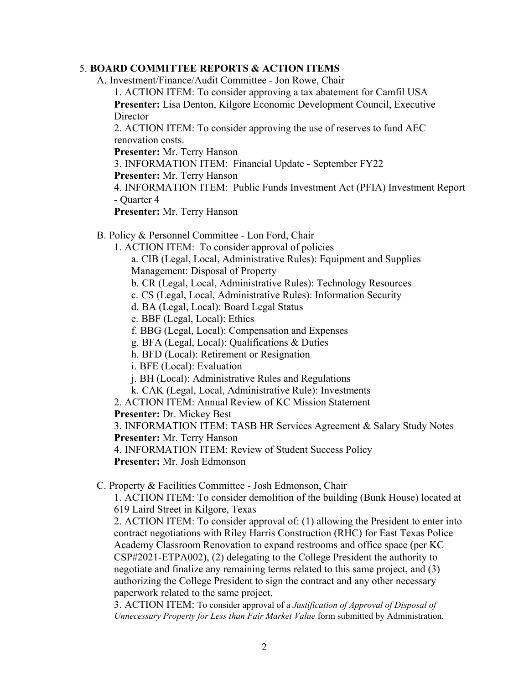#### 5. **BOARD COMMITTEE REPORTS & ACTION ITEMS**

A. Investment/Finance/Audit Committee - Jon Rowe, Chair

1. ACTION ITEM: To consider approving a tax abatement for Camfil USA **Presenter:** Lisa Denton, Kilgore Economic Development Council, Executive Director

2. ACTION ITEM: To consider approving the use of reserves to fund AEC renovation costs.

**Presenter:** Mr. Terry Hanson

3. INFORMATION ITEM: Financial Update - September FY22

**Presenter:** Mr. Terry Hanson

4. INFORMATION ITEM: Public Funds Investment Act (PFIA) Investment Report - Quarter 4

**Presenter:** Mr. Terry Hanson

B. Policy & Personnel Committee - Lon Ford, Chair

1. ACTION ITEM: To consider approval of policies

a. CIB (Legal, Local, Administrative Rules): Equipment and Supplies Management: Disposal of Property

- b. CR (Legal, Local, Administrative Rules): Technology Resources
- c. CS (Legal, Local, Administrative Rules): Information Security
- d. BA (Legal, Local): Board Legal Status
- e. BBF (Legal, Local): Ethics

f. BBG (Legal, Local): Compensation and Expenses

g. BFA (Legal, Local): Qualifications & Duties

h. BFD (Local): Retirement or Resignation

i. BFE (Local): Evaluation

- j. BH (Local): Administrative Rules and Regulations
- k. CAK (Legal, Local, Administrative Rule): Investments
- 2. ACTION ITEM: Annual Review of KC Mission Statement

**Presenter:** Dr. Mickey Best

3. INFORMATION ITEM: TASB HR Services Agreement & Salary Study Notes **Presenter:** Mr. Terry Hanson

4. INFORMATION ITEM: Review of Student Success Policy

**Presenter:** Mr. Josh Edmonson

C. Property & Facilities Committee - Josh Edmonson, Chair

1. ACTION ITEM: To consider demolition of the building (Bunk House) located at 619 Laird Street in Kilgore, Texas

2. ACTION ITEM: To consider approval of: (1) allowing the President to enter into contract negotiations with Riley Harris Construction (RHC) for East Texas Police Academy Classroom Renovation to expand restrooms and office space (per KC CSP#2021-ETPA002), (2) delegating to the College President the authority to negotiate and finalize any remaining terms related to this same project, and (3) authorizing the College President to sign the contract and any other necessary paperwork related to the same project.

3. ACTION ITEM: To consider approval of a *Justification of Approval of Disposal of Unnecessary Property for Less than Fair Market Value* form submitted by Administration.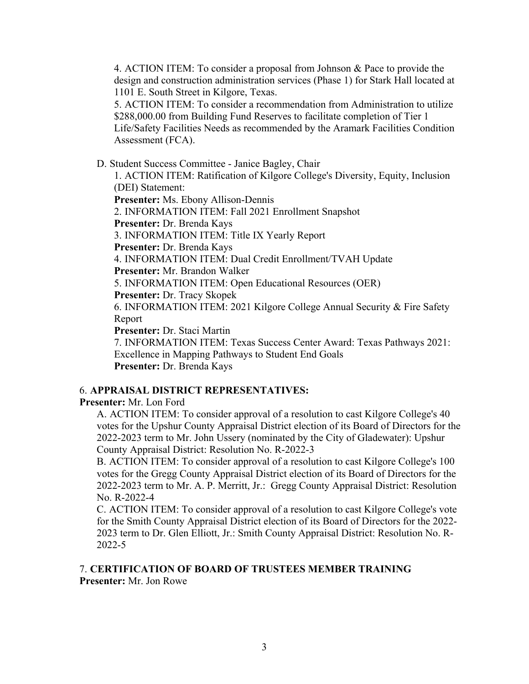4. ACTION ITEM: To consider a proposal from Johnson & Pace to provide the design and construction administration services (Phase 1) for Stark Hall located at 1101 E. South Street in Kilgore, Texas.

5. ACTION ITEM: To consider a recommendation from Administration to utilize \$288,000.00 from Building Fund Reserves to facilitate completion of Tier 1 Life/Safety Facilities Needs as recommended by the Aramark Facilities Condition Assessment (FCA).

D. Student Success Committee - Janice Bagley, Chair

1. ACTION ITEM: Ratification of Kilgore College's Diversity, Equity, Inclusion (DEI) Statement:

**Presenter:** Ms. Ebony Allison-Dennis

2. INFORMATION ITEM: Fall 2021 Enrollment Snapshot

**Presenter:** Dr. Brenda Kays

3. INFORMATION ITEM: Title IX Yearly Report

**Presenter:** Dr. Brenda Kays

4. INFORMATION ITEM: Dual Credit Enrollment/TVAH Update

**Presenter:** Mr. Brandon Walker

5. INFORMATION ITEM: Open Educational Resources (OER)

**Presenter:** Dr. Tracy Skopek

6. INFORMATION ITEM: 2021 Kilgore College Annual Security & Fire Safety Report

**Presenter:** Dr. Staci Martin

7. INFORMATION ITEM: Texas Success Center Award: Texas Pathways 2021: Excellence in Mapping Pathways to Student End Goals **Presenter:** Dr. Brenda Kays

# 6. **APPRAISAL DISTRICT REPRESENTATIVES:**

**Presenter:** Mr. Lon Ford

A. ACTION ITEM: To consider approval of a resolution to cast Kilgore College's 40 votes for the Upshur County Appraisal District election of its Board of Directors for the 2022-2023 term to Mr. John Ussery (nominated by the City of Gladewater): Upshur County Appraisal District: Resolution No. R-2022-3

B. ACTION ITEM: To consider approval of a resolution to cast Kilgore College's 100 votes for the Gregg County Appraisal District election of its Board of Directors for the 2022-2023 term to Mr. A. P. Merritt, Jr.: Gregg County Appraisal District: Resolution No. R-2022-4

C. ACTION ITEM: To consider approval of a resolution to cast Kilgore College's vote for the Smith County Appraisal District election of its Board of Directors for the 2022- 2023 term to Dr. Glen Elliott, Jr.: Smith County Appraisal District: Resolution No. R-2022-5

#### 7. **CERTIFICATION OF BOARD OF TRUSTEES MEMBER TRAINING Presenter:** Mr. Jon Rowe